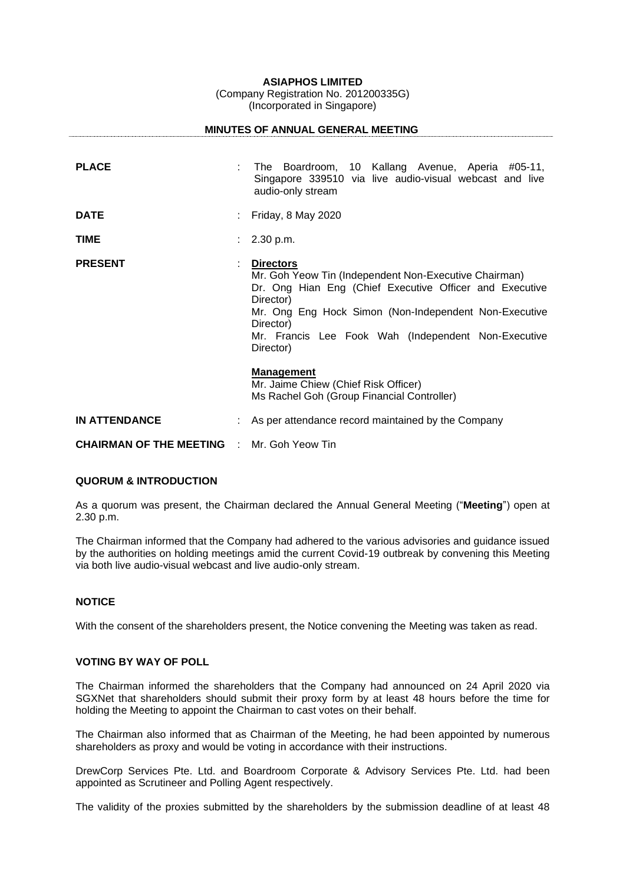**ASIAPHOS LIMITED**

(Company Registration No. 201200335G) (Incorporated in Singapore)

|                                   |   | <b>MINUTES OF ANNUAL GENERAL MEETING</b>                                                                                                                                                                                                                                                    |
|-----------------------------------|---|---------------------------------------------------------------------------------------------------------------------------------------------------------------------------------------------------------------------------------------------------------------------------------------------|
| <b>PLACE</b>                      |   | The Boardroom, 10 Kallang Avenue, Aperia #05-11,<br>Singapore 339510 via live audio-visual webcast and live<br>audio-only stream                                                                                                                                                            |
| <b>DATE</b>                       |   | Friday, 8 May 2020                                                                                                                                                                                                                                                                          |
| <b>TIME</b>                       |   | $: 2.30$ p.m.                                                                                                                                                                                                                                                                               |
| <b>PRESENT</b>                    | ÷ | <b>Directors</b><br>Mr. Goh Yeow Tin (Independent Non-Executive Chairman)<br>Dr. Ong Hian Eng (Chief Executive Officer and Executive<br>Director)<br>Mr. Ong Eng Hock Simon (Non-Independent Non-Executive<br>Director)<br>Mr. Francis Lee Fook Wah (Independent Non-Executive<br>Director) |
|                                   |   | <b>Management</b><br>Mr. Jaime Chiew (Chief Risk Officer)<br>Ms Rachel Goh (Group Financial Controller)                                                                                                                                                                                     |
| <b>IN ATTENDANCE</b>              |   | As per attendance record maintained by the Company                                                                                                                                                                                                                                          |
| <b>CHAIRMAN OF THE MEETING ::</b> |   | Mr. Goh Yeow Tin                                                                                                                                                                                                                                                                            |

# **QUORUM & INTRODUCTION**

As a quorum was present, the Chairman declared the Annual General Meeting ("**Meeting**") open at 2.30 p.m.

The Chairman informed that the Company had adhered to the various advisories and guidance issued by the authorities on holding meetings amid the current Covid-19 outbreak by convening this Meeting via both live audio-visual webcast and live audio-only stream.

### **NOTICE**

With the consent of the shareholders present, the Notice convening the Meeting was taken as read.

# **VOTING BY WAY OF POLL**

The Chairman informed the shareholders that the Company had announced on 24 April 2020 via SGXNet that shareholders should submit their proxy form by at least 48 hours before the time for holding the Meeting to appoint the Chairman to cast votes on their behalf.

The Chairman also informed that as Chairman of the Meeting, he had been appointed by numerous shareholders as proxy and would be voting in accordance with their instructions.

DrewCorp Services Pte. Ltd. and Boardroom Corporate & Advisory Services Pte. Ltd. had been appointed as Scrutineer and Polling Agent respectively.

The validity of the proxies submitted by the shareholders by the submission deadline of at least 48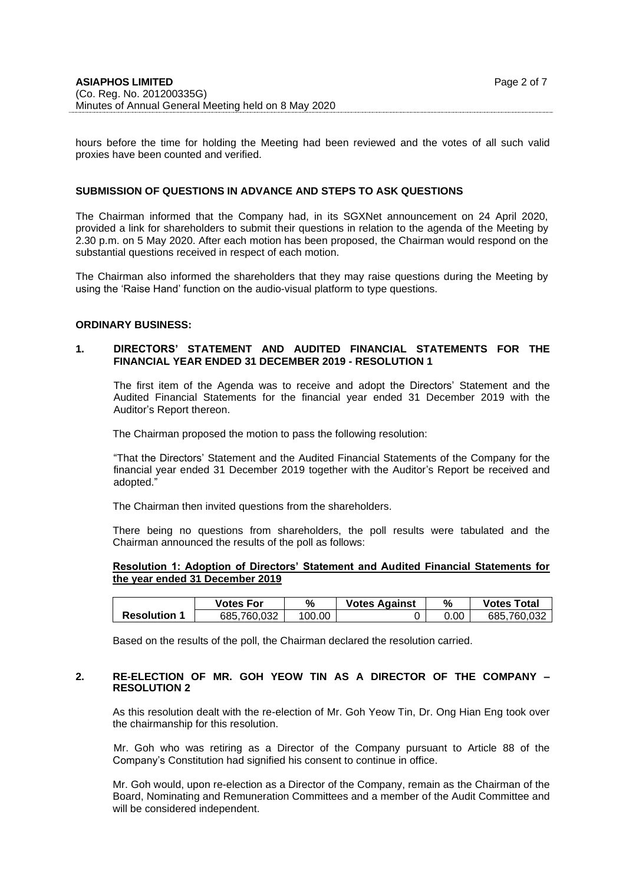hours before the time for holding the Meeting had been reviewed and the votes of all such valid proxies have been counted and verified.

# **SUBMISSION OF QUESTIONS IN ADVANCE AND STEPS TO ASK QUESTIONS**

The Chairman informed that the Company had, in its SGXNet announcement on 24 April 2020, provided a link for shareholders to submit their questions in relation to the agenda of the Meeting by 2.30 p.m. on 5 May 2020. After each motion has been proposed, the Chairman would respond on the substantial questions received in respect of each motion.

The Chairman also informed the shareholders that they may raise questions during the Meeting by using the 'Raise Hand' function on the audio-visual platform to type questions.

### **ORDINARY BUSINESS:**

# **1. DIRECTORS' STATEMENT AND AUDITED FINANCIAL STATEMENTS FOR THE FINANCIAL YEAR ENDED 31 DECEMBER 2019 - RESOLUTION 1**

The first item of the Agenda was to receive and adopt the Directors' Statement and the Audited Financial Statements for the financial year ended 31 December 2019 with the Auditor's Report thereon.

The Chairman proposed the motion to pass the following resolution:

"That the Directors' Statement and the Audited Financial Statements of the Company for the financial year ended 31 December 2019 together with the Auditor's Report be received and adopted."

The Chairman then invited questions from the shareholders.

There being no questions from shareholders, the poll results were tabulated and the Chairman announced the results of the poll as follows:

# **Resolution 1: Adoption of Directors' Statement and Audited Financial Statements for the year ended 31 December 2019**

|                   | <b>Votes For</b> | %      | <b>Votes Against</b> |      | <b>Votes Total</b> |
|-------------------|------------------|--------|----------------------|------|--------------------|
| <b>Resolution</b> | 685.760.032      | 100.00 |                      | 0.00 | 685.760.032        |

Based on the results of the poll, the Chairman declared the resolution carried.

### **2. RE-ELECTION OF MR. GOH YEOW TIN AS A DIRECTOR OF THE COMPANY – RESOLUTION 2**

As this resolution dealt with the re-election of Mr. Goh Yeow Tin, Dr. Ong Hian Eng took over the chairmanship for this resolution.

Mr. Goh who was retiring as a Director of the Company pursuant to Article 88 of the Company's Constitution had signified his consent to continue in office.

Mr. Goh would, upon re-election as a Director of the Company, remain as the Chairman of the Board, Nominating and Remuneration Committees and a member of the Audit Committee and will be considered independent.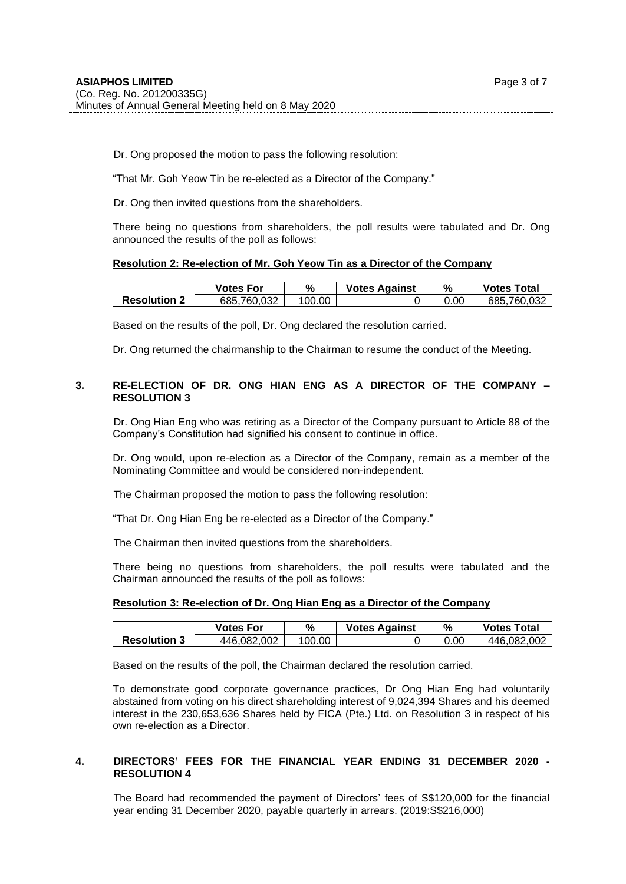Dr. Ong proposed the motion to pass the following resolution:

"That Mr. Goh Yeow Tin be re-elected as a Director of the Company."

Dr. Ong then invited questions from the shareholders.

There being no questions from shareholders, the poll results were tabulated and Dr. Ong announced the results of the poll as follows:

# **Resolution 2: Re-election of Mr. Goh Yeow Tin as a Director of the Company**

|                     | Votes For   | %      | <b>Votes Against</b> | %    | <b>Votes Total</b> |
|---------------------|-------------|--------|----------------------|------|--------------------|
| <b>Resolution 2</b> | 685.760.032 | 100.00 |                      | 0.00 | 685.760.032        |

Based on the results of the poll, Dr. Ong declared the resolution carried.

Dr. Ong returned the chairmanship to the Chairman to resume the conduct of the Meeting.

# **3. RE-ELECTION OF DR. ONG HIAN ENG AS A DIRECTOR OF THE COMPANY – RESOLUTION 3**

Dr. Ong Hian Eng who was retiring as a Director of the Company pursuant to Article 88 of the Company's Constitution had signified his consent to continue in office.

Dr. Ong would, upon re-election as a Director of the Company, remain as a member of the Nominating Committee and would be considered non-independent.

The Chairman proposed the motion to pass the following resolution:

"That Dr. Ong Hian Eng be re-elected as a Director of the Company."

The Chairman then invited questions from the shareholders.

There being no questions from shareholders, the poll results were tabulated and the Chairman announced the results of the poll as follows:

### **Resolution 3: Re-election of Dr. Ong Hian Eng as a Director of the Company**

|                     | <b>Votes For</b> | %      | <b>Votes Against</b> | %    | <b>Votes Total</b> |
|---------------------|------------------|--------|----------------------|------|--------------------|
| <b>Resolution 3</b> | 446.082.002      | 100.00 |                      | 0.00 | 446.082.002        |

Based on the results of the poll, the Chairman declared the resolution carried.

To demonstrate good corporate governance practices, Dr Ong Hian Eng had voluntarily abstained from voting on his direct shareholding interest of 9,024,394 Shares and his deemed interest in the 230,653,636 Shares held by FICA (Pte.) Ltd. on Resolution 3 in respect of his own re-election as a Director.

# **4. DIRECTORS' FEES FOR THE FINANCIAL YEAR ENDING 31 DECEMBER 2020 - RESOLUTION 4**

The Board had recommended the payment of Directors' fees of S\$120,000 for the financial year ending 31 December 2020, payable quarterly in arrears. (2019:S\$216,000)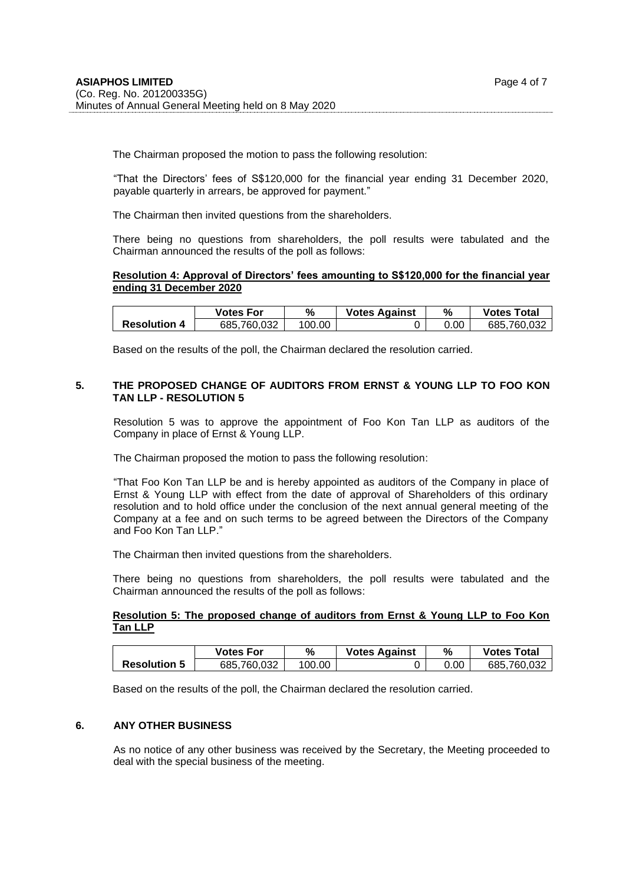The Chairman proposed the motion to pass the following resolution:

"That the Directors' fees of S\$120,000 for the financial year ending 31 December 2020, payable quarterly in arrears, be approved for payment."

The Chairman then invited questions from the shareholders.

There being no questions from shareholders, the poll results were tabulated and the Chairman announced the results of the poll as follows:

#### **Resolution 4: Approval of Directors' fees amounting to S\$120,000 for the financial year ending 31 December 2020**

|                     | Votes For   | %      | <b>Votes Against</b> |      | <b>Votes Total</b> |
|---------------------|-------------|--------|----------------------|------|--------------------|
| <b>Resolution 4</b> | 685,760,032 | 100.00 |                      | J.OC | 685.760.032        |

Based on the results of the poll, the Chairman declared the resolution carried.

# **5. THE PROPOSED CHANGE OF AUDITORS FROM ERNST & YOUNG LLP TO FOO KON TAN LLP - RESOLUTION 5**

Resolution 5 was to approve the appointment of Foo Kon Tan LLP as auditors of the Company in place of Ernst & Young LLP.

The Chairman proposed the motion to pass the following resolution:

"That Foo Kon Tan LLP be and is hereby appointed as auditors of the Company in place of Ernst & Young LLP with effect from the date of approval of Shareholders of this ordinary resolution and to hold office under the conclusion of the next annual general meeting of the Company at a fee and on such terms to be agreed between the Directors of the Company and Foo Kon Tan LLP."

The Chairman then invited questions from the shareholders.

There being no questions from shareholders, the poll results were tabulated and the Chairman announced the results of the poll as follows:

# **Resolution 5: The proposed change of auditors from Ernst & Young LLP to Foo Kon Tan LLP**

|                     | Votes For   | %      | <b>Votes Against</b> | %    | <b>Votes Total</b> |
|---------------------|-------------|--------|----------------------|------|--------------------|
| <b>Resolution 5</b> | 685.760.032 | 100.00 |                      | 0.00 | 685.760.032        |

Based on the results of the poll, the Chairman declared the resolution carried.

### **6. ANY OTHER BUSINESS**

As no notice of any other business was received by the Secretary, the Meeting proceeded to deal with the special business of the meeting.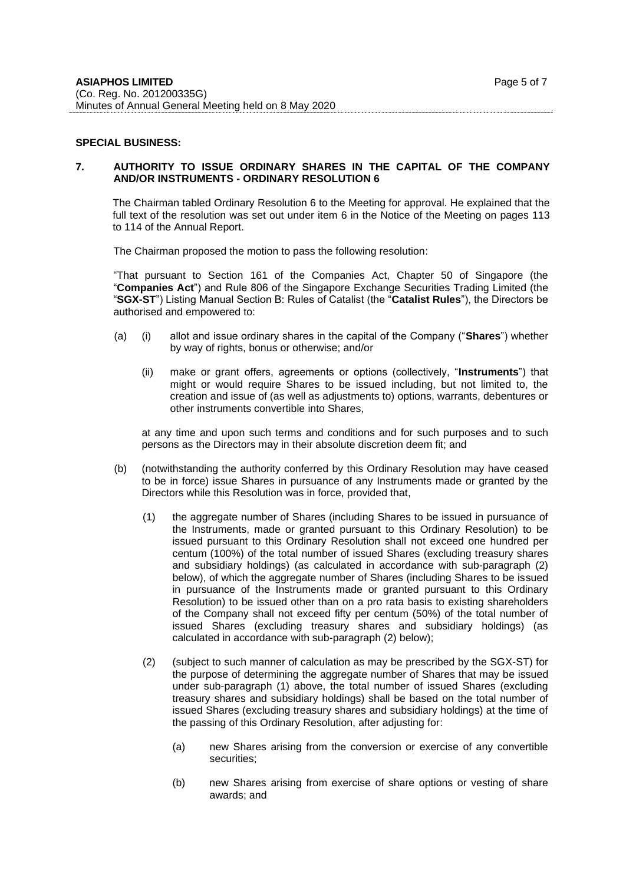#### **SPECIAL BUSINESS:**

### **7. AUTHORITY TO ISSUE ORDINARY SHARES IN THE CAPITAL OF THE COMPANY AND/OR INSTRUMENTS - ORDINARY RESOLUTION 6**

The Chairman tabled Ordinary Resolution 6 to the Meeting for approval. He explained that the full text of the resolution was set out under item 6 in the Notice of the Meeting on pages 113 to 114 of the Annual Report.

The Chairman proposed the motion to pass the following resolution:

"That pursuant to Section 161 of the Companies Act, Chapter 50 of Singapore (the "**Companies Act**") and Rule 806 of the Singapore Exchange Securities Trading Limited (the "**SGX-ST**") Listing Manual Section B: Rules of Catalist (the "**Catalist Rules**"), the Directors be authorised and empowered to:

- (a) (i) allot and issue ordinary shares in the capital of the Company ("**Shares**") whether by way of rights, bonus or otherwise; and/or
	- (ii) make or grant offers, agreements or options (collectively, "**Instruments**") that might or would require Shares to be issued including, but not limited to, the creation and issue of (as well as adjustments to) options, warrants, debentures or other instruments convertible into Shares,

at any time and upon such terms and conditions and for such purposes and to such persons as the Directors may in their absolute discretion deem fit; and

- (b) (notwithstanding the authority conferred by this Ordinary Resolution may have ceased to be in force) issue Shares in pursuance of any Instruments made or granted by the Directors while this Resolution was in force, provided that,
	- (1) the aggregate number of Shares (including Shares to be issued in pursuance of the Instruments, made or granted pursuant to this Ordinary Resolution) to be issued pursuant to this Ordinary Resolution shall not exceed one hundred per centum (100%) of the total number of issued Shares (excluding treasury shares and subsidiary holdings) (as calculated in accordance with sub-paragraph (2) below), of which the aggregate number of Shares (including Shares to be issued in pursuance of the Instruments made or granted pursuant to this Ordinary Resolution) to be issued other than on a pro rata basis to existing shareholders of the Company shall not exceed fifty per centum (50%) of the total number of issued Shares (excluding treasury shares and subsidiary holdings) (as calculated in accordance with sub-paragraph (2) below);
	- (2) (subject to such manner of calculation as may be prescribed by the SGX-ST) for the purpose of determining the aggregate number of Shares that may be issued under sub-paragraph (1) above, the total number of issued Shares (excluding treasury shares and subsidiary holdings) shall be based on the total number of issued Shares (excluding treasury shares and subsidiary holdings) at the time of the passing of this Ordinary Resolution, after adjusting for:
		- (a) new Shares arising from the conversion or exercise of any convertible securities;
		- (b) new Shares arising from exercise of share options or vesting of share awards; and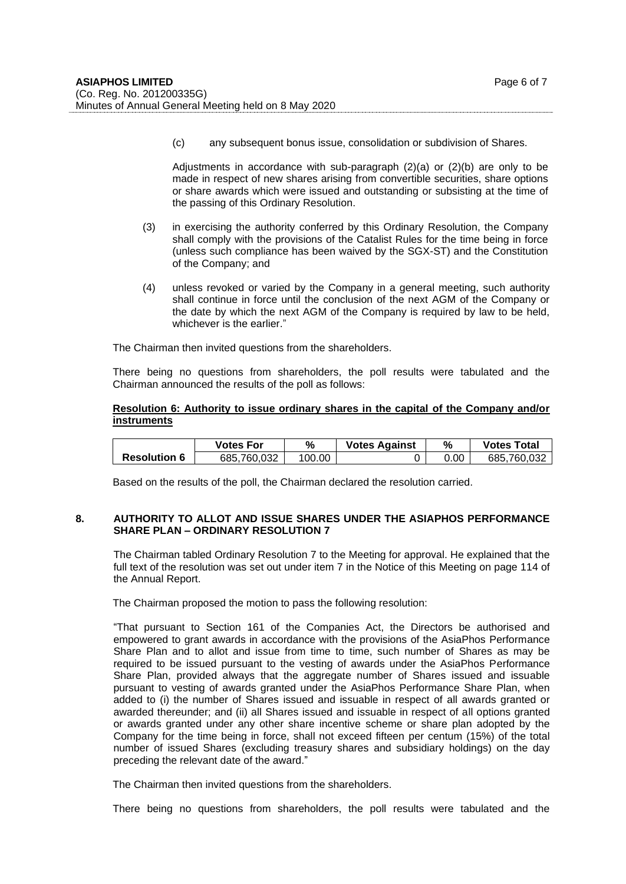(c) any subsequent bonus issue, consolidation or subdivision of Shares.

Adjustments in accordance with sub-paragraph  $(2)(a)$  or  $(2)(b)$  are only to be made in respect of new shares arising from convertible securities, share options or share awards which were issued and outstanding or subsisting at the time of the passing of this Ordinary Resolution.

- (3) in exercising the authority conferred by this Ordinary Resolution, the Company shall comply with the provisions of the Catalist Rules for the time being in force (unless such compliance has been waived by the SGX-ST) and the Constitution of the Company; and
- (4) unless revoked or varied by the Company in a general meeting, such authority shall continue in force until the conclusion of the next AGM of the Company or the date by which the next AGM of the Company is required by law to be held, whichever is the earlier."

The Chairman then invited questions from the shareholders.

There being no questions from shareholders, the poll results were tabulated and the Chairman announced the results of the poll as follows:

# **Resolution 6: Authority to issue ordinary shares in the capital of the Company and/or instruments**

|                     | Votes For   | %      | <b>Votes Against</b> | %    | <b>Votes Total</b> |
|---------------------|-------------|--------|----------------------|------|--------------------|
| <b>Resolution 6</b> | 685.760.032 | 100.00 |                      | 0.00 | 685.760.032        |

Based on the results of the poll, the Chairman declared the resolution carried.

#### **8. AUTHORITY TO ALLOT AND ISSUE SHARES UNDER THE ASIAPHOS PERFORMANCE SHARE PLAN – ORDINARY RESOLUTION 7**

The Chairman tabled Ordinary Resolution 7 to the Meeting for approval. He explained that the full text of the resolution was set out under item 7 in the Notice of this Meeting on page 114 of the Annual Report.

The Chairman proposed the motion to pass the following resolution:

"That pursuant to Section 161 of the Companies Act, the Directors be authorised and empowered to grant awards in accordance with the provisions of the AsiaPhos Performance Share Plan and to allot and issue from time to time, such number of Shares as may be required to be issued pursuant to the vesting of awards under the AsiaPhos Performance Share Plan, provided always that the aggregate number of Shares issued and issuable pursuant to vesting of awards granted under the AsiaPhos Performance Share Plan, when added to (i) the number of Shares issued and issuable in respect of all awards granted or awarded thereunder; and (ii) all Shares issued and issuable in respect of all options granted or awards granted under any other share incentive scheme or share plan adopted by the Company for the time being in force, shall not exceed fifteen per centum (15%) of the total number of issued Shares (excluding treasury shares and subsidiary holdings) on the day preceding the relevant date of the award."

The Chairman then invited questions from the shareholders.

There being no questions from shareholders, the poll results were tabulated and the